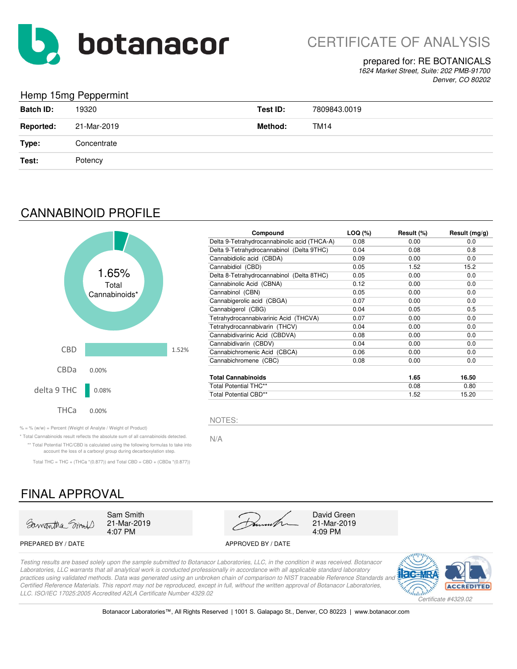

CERTIFICATE OF ANALYSIS

#### prepared for: RE BOTANICALS

*1624 Market Street, Suite: 202 PMB-91700 Denver, CO 80202*

### Hemp 15mg Peppermint

| <b>Batch ID:</b> | 19320       | Test ID: | 7809843.0019 |
|------------------|-------------|----------|--------------|
| <b>Reported:</b> | 21-Mar-2019 | Method:  | <b>TM14</b>  |
| Type:            | Concentrate |          |              |
| Test:            | Potency     |          |              |

## CANNABINOID PROFILE



| Compound                                     | LOQ (%) | Result (%) | Result $(mg/g)$ |
|----------------------------------------------|---------|------------|-----------------|
| Delta 9-Tetrahydrocannabinolic acid (THCA-A) | 0.08    | 0.00       | 0.0             |
| Delta 9-Tetrahydrocannabinol (Delta 9THC)    | 0.04    | 0.08       | 0.8             |
| Cannabidiolic acid (CBDA)                    | 0.09    | 0.00       | 0.0             |
| Cannabidiol (CBD)                            | 0.05    | 1.52       | 15.2            |
| Delta 8-Tetrahydrocannabinol (Delta 8THC)    | 0.05    | 0.00       | 0.0             |
| Cannabinolic Acid (CBNA)                     | 0.12    | 0.00       | 0.0             |
| Cannabinol (CBN)                             | 0.05    | 0.00       | 0.0             |
| Cannabigerolic acid (CBGA)                   | 0.07    | 0.00       | 0.0             |
| Cannabigerol (CBG)                           | 0.04    | 0.05       | 0.5             |
| Tetrahydrocannabivarinic Acid (THCVA)        | 0.07    | 0.00       | 0.0             |
| Tetrahydrocannabivarin (THCV)                | 0.04    | 0.00       | 0.0             |
| Cannabidivarinic Acid (CBDVA)                | 0.08    | 0.00       | 0.0             |
| Cannabidivarin (CBDV)                        | 0.04    | 0.00       | 0.0             |
| Cannabichromenic Acid (CBCA)                 | 0.06    | 0.00       | 0.0             |
| Cannabichromene (CBC)                        | 0.08    | 0.00       | 0.0             |
| <b>Total Cannabinoids</b>                    |         | 1.65       | 16.50           |
| <b>Total Potential THC**</b>                 |         | 0.08       | 0.80            |
| Total Potential CBD**                        |         | 1.52       | 15.20           |

 $\% = \%$  (w/w) = Percent (Weight of Analyte / Weight of Product)

\* Total Cannabinoids result reflects the absolute sum of all cannabinoids detected. N/A \*\* Total Potential THC/CBD is calculated using the following formulas to take into account the loss of a carboxyl group during decarboxylation step.

Total THC = THC + (THCa  $*(0.877)$ ) and Total CBD = CBD + (CBDa  $*(0.877)$ )

## FINAL APPROVAL



21-Mar-2019



21-Mar-2019

#### PREPARED BY / DATE APPROVED BY / DATE

*Testing results are based solely upon the sample submitted to Botanacor Laboratories, LLC, in the condition it was received. Botanacor Laboratories, LLC warrants that all analytical work is conducted professionally in accordance with all applicable standard laboratory*  practices using validated methods. Data was generated using an unbroken chain of comparison to NIST traceable Reference Standards and *Certified Reference Materials. This report may not be reproduced, except in full, without the written approval of Botanacor Laboratories, LLC. ISO/IEC 17025:2005 Accredited A2LA Certificate Number 4329.02*

NOTES:



Botanacor Laboratories™, All Rights Reserved | 1001 S. Galapago St., Denver, CO 80223 | www.botanacor.com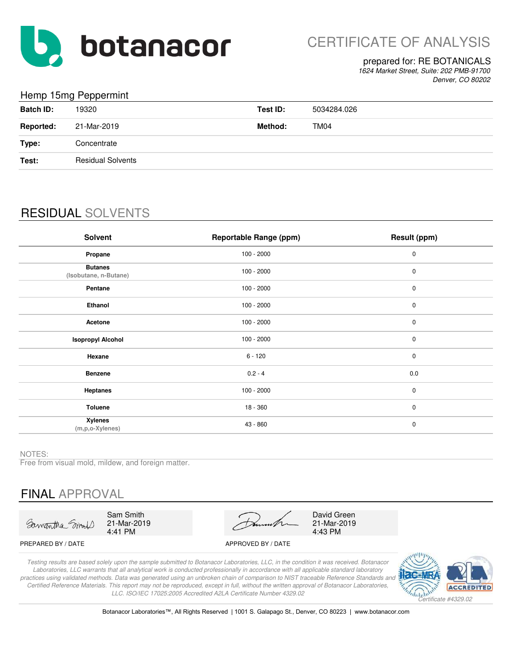

#### prepared for: RE BOTANICALS

*1624 Market Street, Suite: 202 PMB-91700 Denver, CO 80202*

### Hemp 15mg Peppermint

| <b>Batch ID:</b> | 19320                    | Test ID: | 5034284.026 |
|------------------|--------------------------|----------|-------------|
| <b>Reported:</b> | 21-Mar-2019              | Method:  | TM04        |
| Type:            | Concentrate              |          |             |
| Test:            | <b>Residual Solvents</b> |          |             |
|                  |                          |          |             |

## RESIDUAL SOLVENTS

| <b>Solvent</b>                          | <b>Reportable Range (ppm)</b> | Result (ppm) |
|-----------------------------------------|-------------------------------|--------------|
| Propane                                 | $100 - 2000$                  | 0            |
| <b>Butanes</b><br>(Isobutane, n-Butane) | $100 - 2000$                  | $\pmb{0}$    |
| Pentane                                 | $100 - 2000$                  | $\pmb{0}$    |
| Ethanol                                 | $100 - 2000$                  | $\pmb{0}$    |
| Acetone                                 | $100 - 2000$                  | 0            |
| <b>Isopropyl Alcohol</b>                | $100 - 2000$                  | 0            |
| Hexane                                  | $6 - 120$                     | $\mathbf 0$  |
| <b>Benzene</b>                          | $0.2 - 4$                     | 0.0          |
| <b>Heptanes</b>                         | $100 - 2000$                  | $\mathbf 0$  |
| Toluene                                 | 18 - 360                      | $\mathbf 0$  |
| <b>Xylenes</b><br>(m,p,o-Xylenes)       | 43 - 860                      | $\pmb{0}$    |

NOTES:

Free from visual mold, mildew, and foreign matter.

## FINAL APPROVAL

Samantha Smil

Sam Smith 21-Mar-2019 4:41 PM

21-Mar-2019 4:43 PM David Green

#### PREPARED BY / DATE APPROVED BY / DATE

*Testing results are based solely upon the sample submitted to Botanacor Laboratories, LLC, in the condition it was received. Botanacor Laboratories, LLC warrants that all analytical work is conducted professionally in accordance with all applicable standard laboratory practices using validated methods. Data was generated using an unbroken chain of comparison to NIST traceable Reference Standards and Certified Reference Materials. This report may not be reproduced, except in full, without the written approval of Botanacor Laboratories, LLC. ISO/IEC 17025:2005 Accredited A2LA Certificate Number 4329.02*



Botanacor Laboratories™, All Rights Reserved | 1001 S. Galapago St., Denver, CO 80223 | www.botanacor.com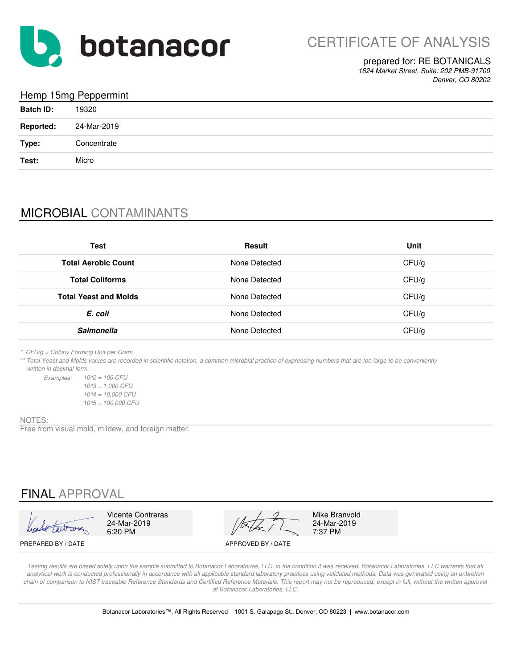

### prepared for: RE BOTANICALS

*1624 Market Street, Suite: 202 PMB-91700 Denver, CO 80202*

### Hemp 15mg Peppermint

| <b>Batch ID:</b> | 19320       |
|------------------|-------------|
| <b>Reported:</b> | 24-Mar-2019 |
| Type:            | Concentrate |
| Test:            | Micro       |

## MICROBIAL CONTAMINANTS

| Test                         | Result        | Unit  |
|------------------------------|---------------|-------|
| <b>Total Aerobic Count</b>   | None Detected | CFU/g |
| <b>Total Coliforms</b>       | None Detected | CFU/g |
| <b>Total Yeast and Molds</b> | None Detected | CFU/g |
| E. coli                      | None Detected | CFU/g |
| <b>Salmonella</b>            | None Detected | CFU/g |

*\* CFU/g = Colony Forming Unit per Gram*

*\*\* Total Yeast and Molds values are recorded in scientific notation, a common microbial practice of expressing numbers that are too large to be conveniently written in decimal form.*

*Examples: 10^2 = 100 CFU 10^5 = 100,000 CFU 10^3 = 1,000 CFU 10^4 = 10,000 CFU*

#### NOTES:

Free from visual mold, mildew, and foreign matter.

## FINAL APPROVAL

Vicente Contreras Mike Branvold<br>24-Mar-2019 24-Mar-2019 24-Mar-2019 24-Mar-2019 24-Mar-2019 6:20 PM  $\sqrt{2}$  7:37 PM

PREPARED BY / DATE APPROVED BY / DATE

*Testing results are based solely upon the sample submitted to Botanacor Laboratories, LLC, in the condition it was received. Botanacor Laboratories, LLC warrants that all*  analytical work is conducted professionally in accordance with all applicable standard laboratory practices using validated methods. Data was generated using an unbroken chain of comparison to NIST traceable Reference Standards and Certified Reference Materials. This report may not be reproduced, except in full, without the written approval *of Botanacor Laboratories, LLC.*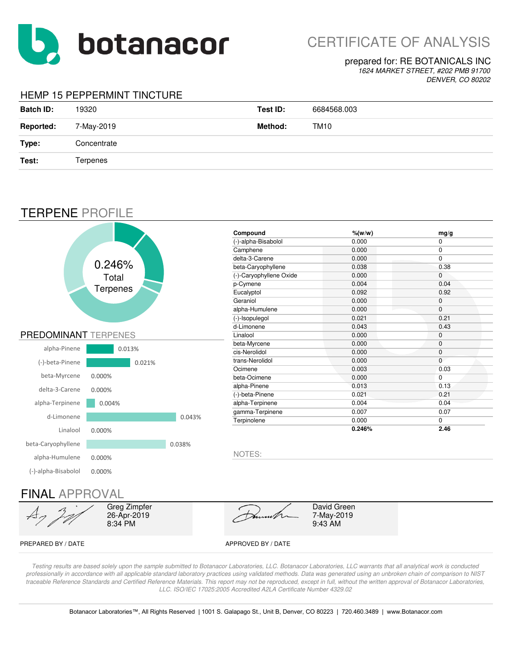

# CERTIFICATE OF ANALYSIS

#### prepared for: RE BOTANICALS INC

*1624 MARKET STREET, #202 PMB 91700 DENVER, CO 80202*

### HEMP 15 PEPPERMINT TINCTURE

| <b>Batch ID:</b> | 19320           | Test ID: | 6684568.003 |
|------------------|-----------------|----------|-------------|
| <b>Reported:</b> | 7-May-2019      | Method:  | TM10        |
| Type:            | Concentrate     |          |             |
| Test:            | <b>Terpenes</b> |          |             |

## TERPENE PROFILE



*Testing results are based solely upon the sample submitted to Botanacor Laboratories, LLC. Botanacor Laboratories, LLC warrants that all analytical work is conducted professionally in accordance with all applicable standard laboratory practices using validated methods. Data was generated using an unbroken chain of comparison to NIST*  traceable Reference Standards and Certified Reference Materials. This report may not be reproduced, except in full, without the written approval of Botanacor Laboratories, *LLC. ISO/IEC 17025:2005 Accredited A2LA Certificate Number 4329.02*

Botanacor Laboratories™, All Rights Reserved | 1001 S. Galapago St., Unit B, Denver, CO 80223 | 720.460.3489 | www.Botanacor.com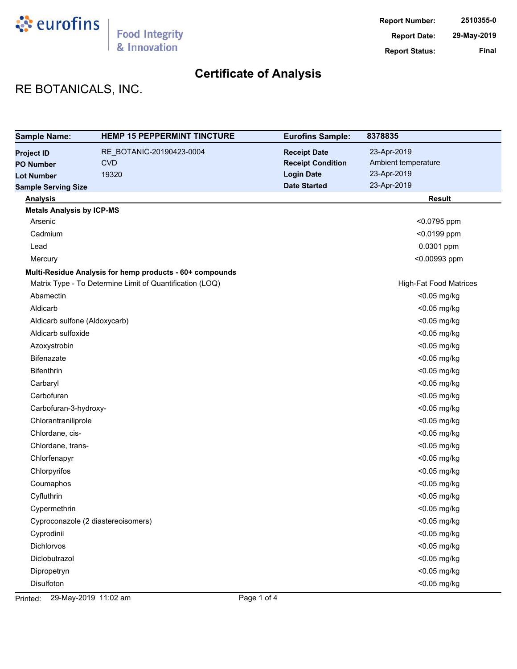

# RE BOTANICALS, INC.

| <b>Sample Name:</b>              | <b>HEMP 15 PEPPERMINT TINCTURE</b>                       | <b>Eurofins Sample:</b>  | 8378835                       |
|----------------------------------|----------------------------------------------------------|--------------------------|-------------------------------|
| <b>Project ID</b>                | RE_BOTANIC-20190423-0004                                 | <b>Receipt Date</b>      | 23-Apr-2019                   |
| <b>PO Number</b>                 | <b>CVD</b>                                               | <b>Receipt Condition</b> | Ambient temperature           |
| <b>Lot Number</b>                | 19320                                                    | <b>Login Date</b>        | 23-Apr-2019                   |
| <b>Sample Serving Size</b>       |                                                          | <b>Date Started</b>      | 23-Apr-2019                   |
| <b>Analysis</b>                  |                                                          |                          | <b>Result</b>                 |
| <b>Metals Analysis by ICP-MS</b> |                                                          |                          |                               |
| Arsenic                          |                                                          |                          | <0.0795 ppm                   |
| Cadmium                          |                                                          |                          | <0.0199 ppm                   |
| Lead                             |                                                          |                          | 0.0301 ppm                    |
| Mercury                          |                                                          |                          | <0.00993 ppm                  |
|                                  | Multi-Residue Analysis for hemp products - 60+ compounds |                          |                               |
|                                  | Matrix Type - To Determine Limit of Quantification (LOQ) |                          | <b>High-Fat Food Matrices</b> |
| Abamectin                        |                                                          |                          | <0.05 mg/kg                   |
| Aldicarb                         |                                                          |                          | <0.05 mg/kg                   |
| Aldicarb sulfone (Aldoxycarb)    |                                                          |                          | <0.05 mg/kg                   |
| Aldicarb sulfoxide               |                                                          |                          | <0.05 mg/kg                   |
| Azoxystrobin                     |                                                          |                          | <0.05 mg/kg                   |
| <b>Bifenazate</b>                |                                                          |                          | <0.05 mg/kg                   |
| Bifenthrin                       |                                                          |                          | <0.05 mg/kg                   |
| Carbaryl                         |                                                          |                          | <0.05 mg/kg                   |
| Carbofuran                       |                                                          |                          | <0.05 mg/kg                   |
| Carbofuran-3-hydroxy-            |                                                          |                          | <0.05 mg/kg                   |
| Chlorantraniliprole              |                                                          |                          | <0.05 mg/kg                   |
| Chlordane, cis-                  |                                                          |                          | <0.05 mg/kg                   |
| Chlordane, trans-                |                                                          |                          | <0.05 mg/kg                   |
| Chlorfenapyr                     |                                                          |                          | <0.05 mg/kg                   |
| Chlorpyrifos                     |                                                          |                          | <0.05 mg/kg                   |
| Coumaphos                        |                                                          |                          | <0.05 mg/kg                   |
| Cyfluthrin                       |                                                          |                          | <0.05 mg/kg                   |
| Cypermethrin                     |                                                          |                          | <0.05 mg/kg                   |
|                                  | Cyproconazole (2 diastereoisomers)                       |                          | <0.05 mg/kg                   |
| Cyprodinil                       |                                                          |                          | <0.05 mg/kg                   |
| Dichlorvos                       |                                                          |                          | <0.05 mg/kg                   |
| Diclobutrazol                    |                                                          |                          | <0.05 mg/kg                   |
| Dipropetryn                      |                                                          |                          | <0.05 mg/kg                   |
| Disulfoton                       |                                                          |                          | <0.05 mg/kg                   |

Printed: 29-May-2019 11:02 am Page 1 of 4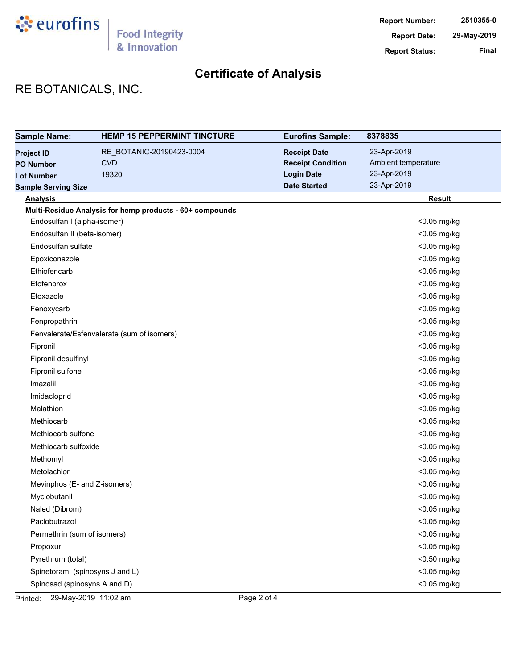

# RE BOTANICALS, INC.

| <b>Sample Name:</b>            | <b>HEMP 15 PEPPERMINT TINCTURE</b>                       | <b>Eurofins Sample:</b>  | 8378835             |
|--------------------------------|----------------------------------------------------------|--------------------------|---------------------|
| <b>Project ID</b>              | RE BOTANIC-20190423-0004                                 | <b>Receipt Date</b>      | 23-Apr-2019         |
| <b>PO Number</b>               | <b>CVD</b>                                               | <b>Receipt Condition</b> | Ambient temperature |
| <b>Lot Number</b>              | 19320                                                    | <b>Login Date</b>        | 23-Apr-2019         |
| <b>Sample Serving Size</b>     |                                                          | <b>Date Started</b>      | 23-Apr-2019         |
| <b>Analysis</b>                |                                                          |                          | <b>Result</b>       |
|                                | Multi-Residue Analysis for hemp products - 60+ compounds |                          |                     |
| Endosulfan I (alpha-isomer)    |                                                          |                          | <0.05 mg/kg         |
| Endosulfan II (beta-isomer)    |                                                          |                          | <0.05 mg/kg         |
| Endosulfan sulfate             |                                                          |                          | <0.05 mg/kg         |
| Epoxiconazole                  |                                                          |                          | <0.05 mg/kg         |
| Ethiofencarb                   |                                                          |                          | <0.05 mg/kg         |
| Etofenprox                     |                                                          |                          | <0.05 mg/kg         |
| Etoxazole                      |                                                          |                          | <0.05 mg/kg         |
| Fenoxycarb                     |                                                          |                          | <0.05 mg/kg         |
| Fenpropathrin                  |                                                          |                          | <0.05 mg/kg         |
|                                | Fenvalerate/Esfenvalerate (sum of isomers)               |                          | <0.05 mg/kg         |
| Fipronil                       |                                                          |                          | <0.05 mg/kg         |
| Fipronil desulfinyl            |                                                          |                          | <0.05 mg/kg         |
| Fipronil sulfone               |                                                          |                          | <0.05 mg/kg         |
| Imazalil                       |                                                          |                          | <0.05 mg/kg         |
| Imidacloprid                   |                                                          |                          | <0.05 mg/kg         |
| Malathion                      |                                                          |                          | <0.05 mg/kg         |
| Methiocarb                     |                                                          |                          | <0.05 mg/kg         |
| Methiocarb sulfone             |                                                          |                          | <0.05 mg/kg         |
| Methiocarb sulfoxide           |                                                          |                          | <0.05 mg/kg         |
| Methomyl                       |                                                          |                          | <0.05 mg/kg         |
| Metolachlor                    |                                                          |                          | <0.05 mg/kg         |
| Mevinphos (E- and Z-isomers)   |                                                          |                          | <0.05 mg/kg         |
| Myclobutanil                   |                                                          |                          | <0.05 mg/kg         |
| Naled (Dibrom)                 |                                                          |                          | <0.05 mg/kg         |
| Paclobutrazol                  |                                                          |                          | <0.05 mg/kg         |
| Permethrin (sum of isomers)    |                                                          |                          | <0.05 mg/kg         |
| Propoxur                       |                                                          |                          | <0.05 mg/kg         |
| Pyrethrum (total)              |                                                          |                          | <0.50 mg/kg         |
| Spinetoram (spinosyns J and L) |                                                          |                          | <0.05 mg/kg         |
| Spinosad (spinosyns A and D)   |                                                          |                          | <0.05 mg/kg         |

Printed: 29-May-2019 11:02 am Page 2 of 4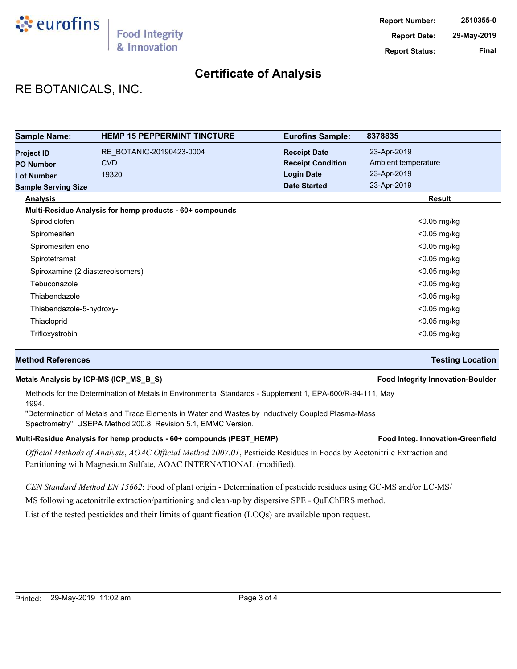

## RE BOTANICALS, INC.

| <b>Sample Name:</b>                           | <b>HEMP 15 PEPPERMINT TINCTURE</b>                       | <b>Eurofins Sample:</b>                         | 8378835                            |
|-----------------------------------------------|----------------------------------------------------------|-------------------------------------------------|------------------------------------|
| <b>Project ID</b><br><b>PO Number</b>         | RE BOTANIC-20190423-0004<br><b>CVD</b>                   | <b>Receipt Date</b><br><b>Receipt Condition</b> | 23-Apr-2019<br>Ambient temperature |
| <b>Lot Number</b>                             | 19320                                                    | <b>Login Date</b><br><b>Date Started</b>        | 23-Apr-2019<br>23-Apr-2019         |
| <b>Sample Serving Size</b><br><b>Analysis</b> |                                                          |                                                 | <b>Result</b>                      |
|                                               | Multi-Residue Analysis for hemp products - 60+ compounds |                                                 |                                    |
| Spirodiclofen                                 |                                                          |                                                 | $<$ 0.05 mg/kg                     |
| Spiromesifen                                  |                                                          |                                                 | $<$ 0.05 mg/kg                     |
| Spiromesifen enol                             |                                                          |                                                 | $<$ 0.05 mg/kg                     |
| Spirotetramat                                 |                                                          |                                                 | $<$ 0.05 mg/kg                     |
| Spiroxamine (2 diastereoisomers)              |                                                          |                                                 | $<$ 0.05 mg/kg                     |
| Tebuconazole                                  |                                                          |                                                 | $<$ 0.05 mg/kg                     |
| Thiabendazole                                 |                                                          |                                                 | $<$ 0.05 mg/kg                     |
| Thiabendazole-5-hydroxy-                      |                                                          |                                                 | $<$ 0.05 mg/kg                     |
| Thiacloprid                                   |                                                          |                                                 | <0.05 mg/kg                        |
| Trifloxystrobin                               |                                                          |                                                 | $<$ 0.05 mg/kg                     |

#### **Method References Testing Location**

#### **Metals Analysis by ICP-MS (ICP\_MS\_B\_S) Food Integrity Innovation-Boulder**

Methods for the Determination of Metals in Environmental Standards - Supplement 1, EPA-600/R-94-111, May 1994.

"Determination of Metals and Trace Elements in Water and Wastes by Inductively Coupled Plasma-Mass Spectrometry", USEPA Method 200.8, Revision 5.1, EMMC Version.

#### Multi-Residue Analysis for hemp products - 60+ compounds (PEST\_HEMP) **Food Integ. Innovation-Greenfield**

*Official Methods of Analysis*, *AOAC Official Method 2007.01*, Pesticide Residues in Foods by Acetonitrile Extraction and Partitioning with Magnesium Sulfate, AOAC INTERNATIONAL (modified).

*CEN Standard Method EN 15662*: Food of plant origin - Determination of pesticide residues using GC-MS and/or LC-MS/

MS following acetonitrile extraction/partitioning and clean-up by dispersive SPE - QuEChERS method.

List of the tested pesticides and their limits of quantification (LOQs) are available upon request.